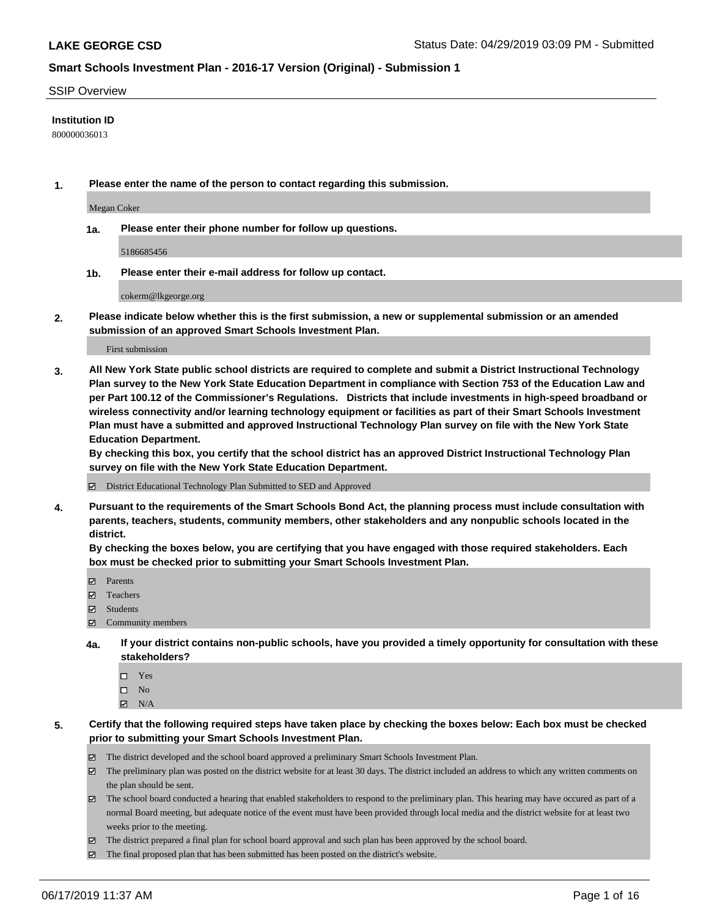#### SSIP Overview

#### **Institution ID**

800000036013

**1. Please enter the name of the person to contact regarding this submission.**

Megan Coker

**1a. Please enter their phone number for follow up questions.**

5186685456

**1b. Please enter their e-mail address for follow up contact.**

cokerm@lkgeorge.org

**2. Please indicate below whether this is the first submission, a new or supplemental submission or an amended submission of an approved Smart Schools Investment Plan.**

First submission

**3. All New York State public school districts are required to complete and submit a District Instructional Technology Plan survey to the New York State Education Department in compliance with Section 753 of the Education Law and per Part 100.12 of the Commissioner's Regulations. Districts that include investments in high-speed broadband or wireless connectivity and/or learning technology equipment or facilities as part of their Smart Schools Investment Plan must have a submitted and approved Instructional Technology Plan survey on file with the New York State Education Department.** 

**By checking this box, you certify that the school district has an approved District Instructional Technology Plan survey on file with the New York State Education Department.**

District Educational Technology Plan Submitted to SED and Approved

**4. Pursuant to the requirements of the Smart Schools Bond Act, the planning process must include consultation with parents, teachers, students, community members, other stakeholders and any nonpublic schools located in the district.** 

**By checking the boxes below, you are certifying that you have engaged with those required stakeholders. Each box must be checked prior to submitting your Smart Schools Investment Plan.**

- Parents
- Teachers
- Students
- Community members
- **4a. If your district contains non-public schools, have you provided a timely opportunity for consultation with these stakeholders?**
	- □ Yes
	- $\square$  No
	- $N/A$
- **5. Certify that the following required steps have taken place by checking the boxes below: Each box must be checked prior to submitting your Smart Schools Investment Plan.**
	- The district developed and the school board approved a preliminary Smart Schools Investment Plan.
	- $\boxtimes$  The preliminary plan was posted on the district website for at least 30 days. The district included an address to which any written comments on the plan should be sent.
	- $\boxtimes$  The school board conducted a hearing that enabled stakeholders to respond to the preliminary plan. This hearing may have occured as part of a normal Board meeting, but adequate notice of the event must have been provided through local media and the district website for at least two weeks prior to the meeting.
	- The district prepared a final plan for school board approval and such plan has been approved by the school board.
	- $\boxtimes$  The final proposed plan that has been submitted has been posted on the district's website.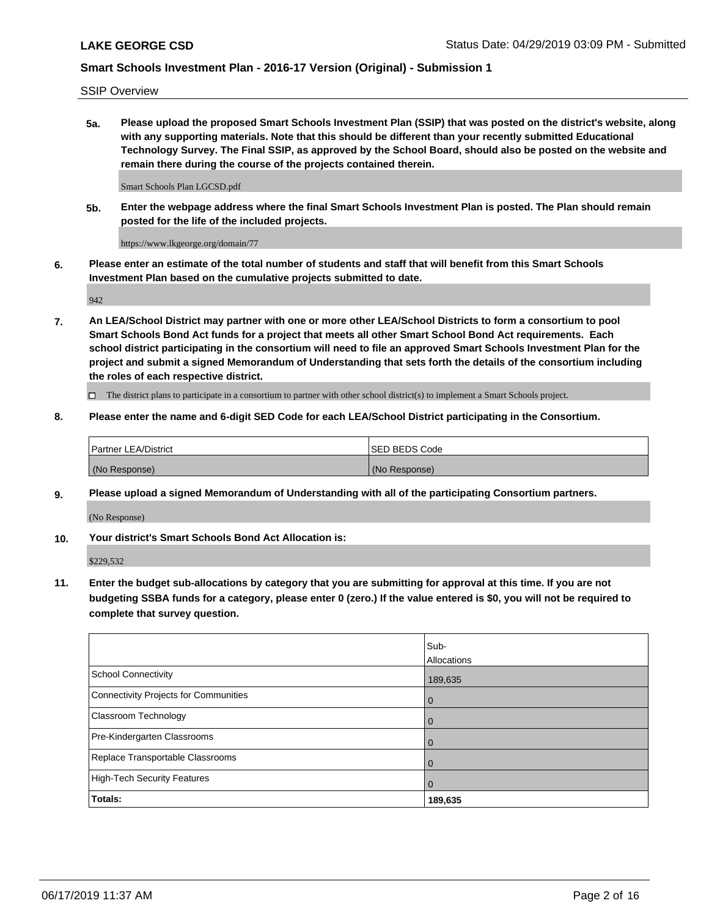SSIP Overview

**5a. Please upload the proposed Smart Schools Investment Plan (SSIP) that was posted on the district's website, along with any supporting materials. Note that this should be different than your recently submitted Educational Technology Survey. The Final SSIP, as approved by the School Board, should also be posted on the website and remain there during the course of the projects contained therein.**

Smart Schools Plan LGCSD.pdf

**5b. Enter the webpage address where the final Smart Schools Investment Plan is posted. The Plan should remain posted for the life of the included projects.**

https://www.lkgeorge.org/domain/77

**6. Please enter an estimate of the total number of students and staff that will benefit from this Smart Schools Investment Plan based on the cumulative projects submitted to date.**

942

**7. An LEA/School District may partner with one or more other LEA/School Districts to form a consortium to pool Smart Schools Bond Act funds for a project that meets all other Smart School Bond Act requirements. Each school district participating in the consortium will need to file an approved Smart Schools Investment Plan for the project and submit a signed Memorandum of Understanding that sets forth the details of the consortium including the roles of each respective district.**

 $\Box$  The district plans to participate in a consortium to partner with other school district(s) to implement a Smart Schools project.

### **8. Please enter the name and 6-digit SED Code for each LEA/School District participating in the Consortium.**

| <b>Partner LEA/District</b> | <b>ISED BEDS Code</b> |
|-----------------------------|-----------------------|
| (No Response)               | (No Response)         |

#### **9. Please upload a signed Memorandum of Understanding with all of the participating Consortium partners.**

(No Response)

**10. Your district's Smart Schools Bond Act Allocation is:**

\$229,532

**11. Enter the budget sub-allocations by category that you are submitting for approval at this time. If you are not budgeting SSBA funds for a category, please enter 0 (zero.) If the value entered is \$0, you will not be required to complete that survey question.**

|                                       | Sub-<br><b>Allocations</b> |
|---------------------------------------|----------------------------|
| School Connectivity                   | 189,635                    |
| Connectivity Projects for Communities | 0                          |
| Classroom Technology                  | 0                          |
| Pre-Kindergarten Classrooms           | 0                          |
| Replace Transportable Classrooms      | 0                          |
| High-Tech Security Features           | 0                          |
| Totals:                               | 189,635                    |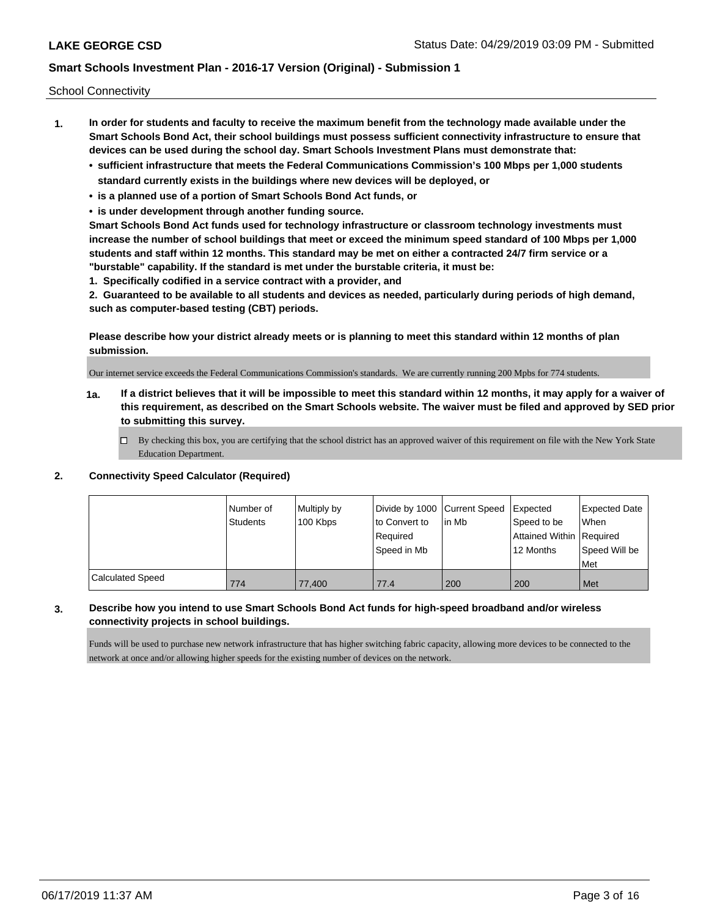School Connectivity

- **1. In order for students and faculty to receive the maximum benefit from the technology made available under the Smart Schools Bond Act, their school buildings must possess sufficient connectivity infrastructure to ensure that devices can be used during the school day. Smart Schools Investment Plans must demonstrate that:**
	- **• sufficient infrastructure that meets the Federal Communications Commission's 100 Mbps per 1,000 students standard currently exists in the buildings where new devices will be deployed, or**
	- **• is a planned use of a portion of Smart Schools Bond Act funds, or**
	- **• is under development through another funding source.**

**Smart Schools Bond Act funds used for technology infrastructure or classroom technology investments must increase the number of school buildings that meet or exceed the minimum speed standard of 100 Mbps per 1,000 students and staff within 12 months. This standard may be met on either a contracted 24/7 firm service or a "burstable" capability. If the standard is met under the burstable criteria, it must be:**

**1. Specifically codified in a service contract with a provider, and**

**2. Guaranteed to be available to all students and devices as needed, particularly during periods of high demand, such as computer-based testing (CBT) periods.**

**Please describe how your district already meets or is planning to meet this standard within 12 months of plan submission.**

Our internet service exceeds the Federal Communications Commission's standards. We are currently running 200 Mpbs for 774 students.

**1a. If a district believes that it will be impossible to meet this standard within 12 months, it may apply for a waiver of this requirement, as described on the Smart Schools website. The waiver must be filed and approved by SED prior to submitting this survey.**

 $\Box$  By checking this box, you are certifying that the school district has an approved waiver of this requirement on file with the New York State Education Department.

#### **2. Connectivity Speed Calculator (Required)**

|                  | l Number of<br><b>Students</b> | Multiply by<br>100 Kbps | Divide by 1000 Current Speed<br>to Convert to<br>Required<br>Speed in Mb | lin Mb | Expected<br>Speed to be<br>Attained Within Required<br>12 Months | <b>Expected Date</b><br>When<br>Speed Will be<br><b>Met</b> |
|------------------|--------------------------------|-------------------------|--------------------------------------------------------------------------|--------|------------------------------------------------------------------|-------------------------------------------------------------|
| Calculated Speed | 774                            | 77.400                  | 77.4                                                                     | 200    | 200                                                              | Met                                                         |

### **3. Describe how you intend to use Smart Schools Bond Act funds for high-speed broadband and/or wireless connectivity projects in school buildings.**

Funds will be used to purchase new network infrastructure that has higher switching fabric capacity, allowing more devices to be connected to the network at once and/or allowing higher speeds for the existing number of devices on the network.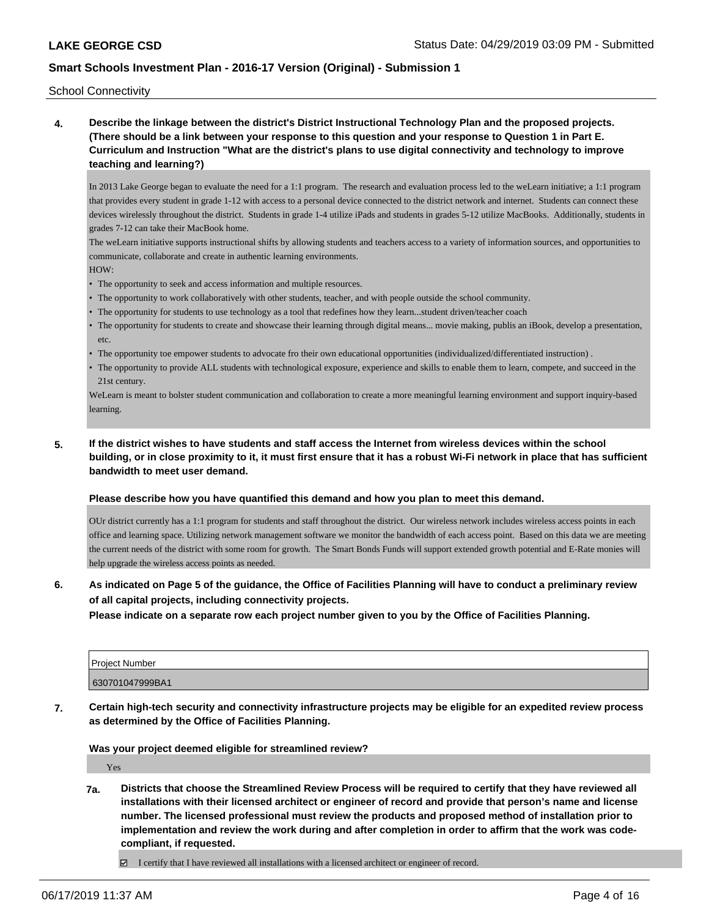School Connectivity

**4. Describe the linkage between the district's District Instructional Technology Plan and the proposed projects. (There should be a link between your response to this question and your response to Question 1 in Part E. Curriculum and Instruction "What are the district's plans to use digital connectivity and technology to improve teaching and learning?)**

In 2013 Lake George began to evaluate the need for a 1:1 program. The research and evaluation process led to the weLearn initiative; a 1:1 program that provides every student in grade 1-12 with access to a personal device connected to the district network and internet. Students can connect these devices wirelessly throughout the district. Students in grade 1-4 utilize iPads and students in grades 5-12 utilize MacBooks. Additionally, students in grades 7-12 can take their MacBook home.

The weLearn initiative supports instructional shifts by allowing students and teachers access to a variety of information sources, and opportunities to communicate, collaborate and create in authentic learning environments.

HOW:

- The opportunity to seek and access information and multiple resources.
- The opportunity to work collaboratively with other students, teacher, and with people outside the school community.
- The opportunity for students to use technology as a tool that redefines how they learn...student driven/teacher coach
- The opportunity for students to create and showcase their learning through digital means... movie making, publis an iBook, develop a presentation, etc.
- The opportunity toe empower students to advocate fro their own educational opportunities (individualized/differentiated instruction) .
- The opportunity to provide ALL students with technological exposure, experience and skills to enable them to learn, compete, and succeed in the 21st century.

WeLearn is meant to bolster student communication and collaboration to create a more meaningful learning environment and support inquiry-based learning.

**5. If the district wishes to have students and staff access the Internet from wireless devices within the school building, or in close proximity to it, it must first ensure that it has a robust Wi-Fi network in place that has sufficient bandwidth to meet user demand.**

#### **Please describe how you have quantified this demand and how you plan to meet this demand.**

OUr district currently has a 1:1 program for students and staff throughout the district. Our wireless network includes wireless access points in each office and learning space. Utilizing network management software we monitor the bandwidth of each access point. Based on this data we are meeting the current needs of the district with some room for growth. The Smart Bonds Funds will support extended growth potential and E-Rate monies will help upgrade the wireless access points as needed.

### **6. As indicated on Page 5 of the guidance, the Office of Facilities Planning will have to conduct a preliminary review of all capital projects, including connectivity projects.**

**Please indicate on a separate row each project number given to you by the Office of Facilities Planning.**

| Proiect Number  |  |
|-----------------|--|
| 630701047999BA1 |  |

**7. Certain high-tech security and connectivity infrastructure projects may be eligible for an expedited review process as determined by the Office of Facilities Planning.**

**Was your project deemed eligible for streamlined review?**

Yes

- **7a. Districts that choose the Streamlined Review Process will be required to certify that they have reviewed all installations with their licensed architect or engineer of record and provide that person's name and license number. The licensed professional must review the products and proposed method of installation prior to implementation and review the work during and after completion in order to affirm that the work was codecompliant, if requested.**
	- I certify that I have reviewed all installations with a licensed architect or engineer of record.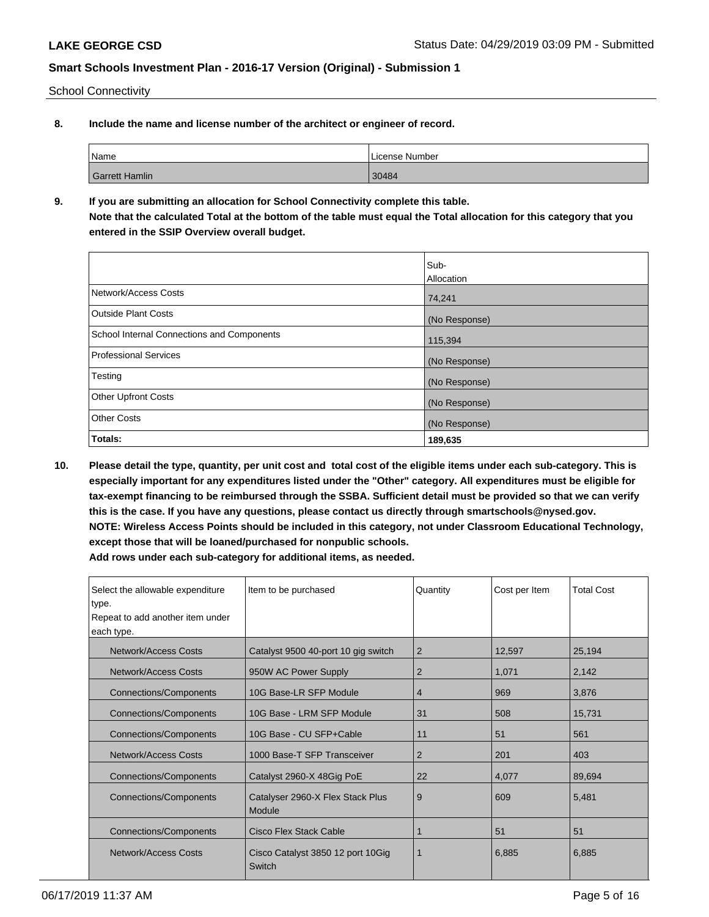School Connectivity

**8. Include the name and license number of the architect or engineer of record.**

| Name           | License Number |
|----------------|----------------|
| Garrett Hamlin | 30484          |

**9. If you are submitting an allocation for School Connectivity complete this table. Note that the calculated Total at the bottom of the table must equal the Total allocation for this category that you entered in the SSIP Overview overall budget.** 

|                                                   | Sub-              |
|---------------------------------------------------|-------------------|
|                                                   | <b>Allocation</b> |
| Network/Access Costs                              | 74,241            |
| <b>Outside Plant Costs</b>                        | (No Response)     |
| <b>School Internal Connections and Components</b> | 115,394           |
| <b>Professional Services</b>                      | (No Response)     |
| Testing                                           | (No Response)     |
| <b>Other Upfront Costs</b>                        | (No Response)     |
| <b>Other Costs</b>                                | (No Response)     |
| Totals:                                           | 189,635           |

**10. Please detail the type, quantity, per unit cost and total cost of the eligible items under each sub-category. This is especially important for any expenditures listed under the "Other" category. All expenditures must be eligible for tax-exempt financing to be reimbursed through the SSBA. Sufficient detail must be provided so that we can verify this is the case. If you have any questions, please contact us directly through smartschools@nysed.gov. NOTE: Wireless Access Points should be included in this category, not under Classroom Educational Technology, except those that will be loaned/purchased for nonpublic schools.**

| Select the allowable expenditure | Item to be purchased                        | Quantity       | Cost per Item | <b>Total Cost</b> |
|----------------------------------|---------------------------------------------|----------------|---------------|-------------------|
| type.                            |                                             |                |               |                   |
| Repeat to add another item under |                                             |                |               |                   |
| each type.                       |                                             |                |               |                   |
| Network/Access Costs             | Catalyst 9500 40-port 10 gig switch         | 2              | 12,597        | 25,194            |
| Network/Access Costs             | 950W AC Power Supply                        | 2              | 1,071         | 2,142             |
| <b>Connections/Components</b>    | 10G Base-LR SFP Module                      | $\overline{4}$ | 969           | 3,876             |
| <b>Connections/Components</b>    | 10G Base - LRM SFP Module                   | 31             | 508           | 15,731            |
| <b>Connections/Components</b>    | 10G Base - CU SFP+Cable                     | 11             | 51            | 561               |
| Network/Access Costs             | 1000 Base-T SFP Transceiver                 | 2              | 201           | 403               |
| <b>Connections/Components</b>    | Catalyst 2960-X 48Gig PoE                   | 22             | 4,077         | 89,694            |
| <b>Connections/Components</b>    | Catalyser 2960-X Flex Stack Plus<br>Module  | 9              | 609           | 5,481             |
| <b>Connections/Components</b>    | Cisco Flex Stack Cable                      |                | 51            | 51                |
| Network/Access Costs             | Cisco Catalyst 3850 12 port 10Gig<br>Switch |                | 6,885         | 6,885             |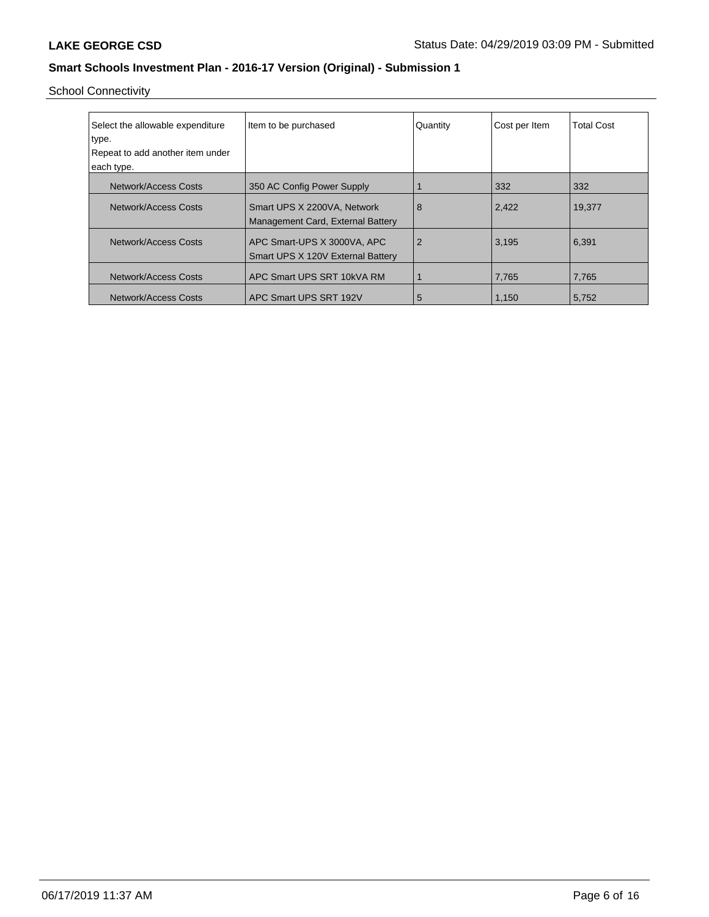School Connectivity

| Select the allowable expenditure | Item to be purchased                                             | Quantity | Cost per Item | <b>Total Cost</b> |
|----------------------------------|------------------------------------------------------------------|----------|---------------|-------------------|
| type.                            |                                                                  |          |               |                   |
| Repeat to add another item under |                                                                  |          |               |                   |
| each type.                       |                                                                  |          |               |                   |
| Network/Access Costs             | 350 AC Config Power Supply                                       |          | 332           | 332               |
| Network/Access Costs             | Smart UPS X 2200VA, Network<br>Management Card, External Battery | 8        | 2,422         | 19,377            |
| Network/Access Costs             | APC Smart-UPS X 3000VA, APC<br>Smart UPS X 120V External Battery | 2        | 3,195         | 6,391             |
| Network/Access Costs             | APC Smart UPS SRT 10kVA RM                                       |          | 7,765         | 7,765             |
| Network/Access Costs             | APC Smart UPS SRT 192V                                           | 5        | 1,150         | 5,752             |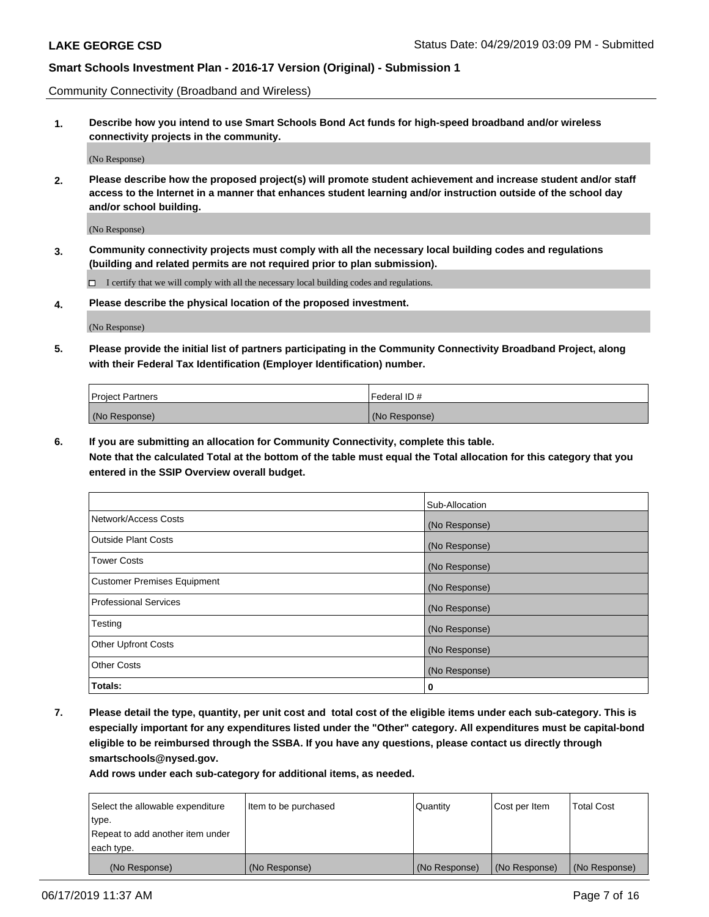Community Connectivity (Broadband and Wireless)

**1. Describe how you intend to use Smart Schools Bond Act funds for high-speed broadband and/or wireless connectivity projects in the community.**

(No Response)

**2. Please describe how the proposed project(s) will promote student achievement and increase student and/or staff access to the Internet in a manner that enhances student learning and/or instruction outside of the school day and/or school building.**

(No Response)

**3. Community connectivity projects must comply with all the necessary local building codes and regulations (building and related permits are not required prior to plan submission).**

 $\Box$  I certify that we will comply with all the necessary local building codes and regulations.

**4. Please describe the physical location of the proposed investment.**

(No Response)

**5. Please provide the initial list of partners participating in the Community Connectivity Broadband Project, along with their Federal Tax Identification (Employer Identification) number.**

| <b>Project Partners</b> | <sup>I</sup> Federal ID # |
|-------------------------|---------------------------|
| (No Response)           | (No Response)             |

**6. If you are submitting an allocation for Community Connectivity, complete this table.**

**Note that the calculated Total at the bottom of the table must equal the Total allocation for this category that you entered in the SSIP Overview overall budget.**

|                                    | Sub-Allocation |
|------------------------------------|----------------|
| Network/Access Costs               | (No Response)  |
| <b>Outside Plant Costs</b>         | (No Response)  |
| <b>Tower Costs</b>                 | (No Response)  |
| <b>Customer Premises Equipment</b> | (No Response)  |
| <b>Professional Services</b>       | (No Response)  |
| Testing                            | (No Response)  |
| <b>Other Upfront Costs</b>         | (No Response)  |
| <b>Other Costs</b>                 | (No Response)  |
| Totals:                            | 0              |

**7. Please detail the type, quantity, per unit cost and total cost of the eligible items under each sub-category. This is especially important for any expenditures listed under the "Other" category. All expenditures must be capital-bond eligible to be reimbursed through the SSBA. If you have any questions, please contact us directly through smartschools@nysed.gov.**

| Select the allowable expenditure | Item to be purchased | Quantity      | Cost per Item | <b>Total Cost</b> |
|----------------------------------|----------------------|---------------|---------------|-------------------|
| type.                            |                      |               |               |                   |
| Repeat to add another item under |                      |               |               |                   |
| each type.                       |                      |               |               |                   |
| (No Response)                    | (No Response)        | (No Response) | (No Response) | (No Response)     |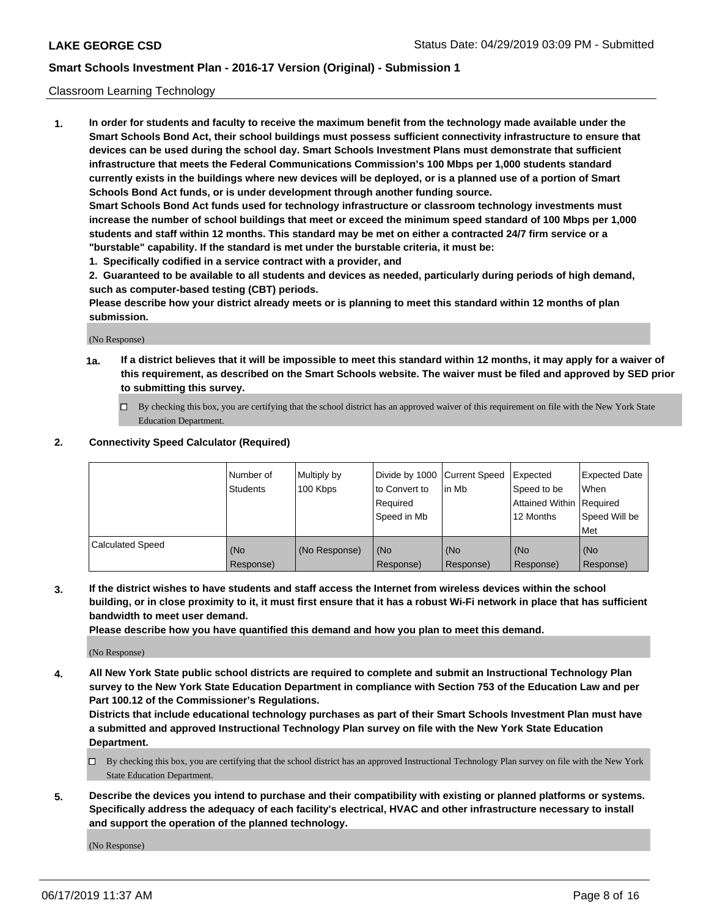#### Classroom Learning Technology

**1. In order for students and faculty to receive the maximum benefit from the technology made available under the Smart Schools Bond Act, their school buildings must possess sufficient connectivity infrastructure to ensure that devices can be used during the school day. Smart Schools Investment Plans must demonstrate that sufficient infrastructure that meets the Federal Communications Commission's 100 Mbps per 1,000 students standard currently exists in the buildings where new devices will be deployed, or is a planned use of a portion of Smart Schools Bond Act funds, or is under development through another funding source. Smart Schools Bond Act funds used for technology infrastructure or classroom technology investments must increase the number of school buildings that meet or exceed the minimum speed standard of 100 Mbps per 1,000 students and staff within 12 months. This standard may be met on either a contracted 24/7 firm service or a**

**"burstable" capability. If the standard is met under the burstable criteria, it must be:**

**1. Specifically codified in a service contract with a provider, and**

**2. Guaranteed to be available to all students and devices as needed, particularly during periods of high demand, such as computer-based testing (CBT) periods.**

**Please describe how your district already meets or is planning to meet this standard within 12 months of plan submission.**

(No Response)

- **1a. If a district believes that it will be impossible to meet this standard within 12 months, it may apply for a waiver of this requirement, as described on the Smart Schools website. The waiver must be filed and approved by SED prior to submitting this survey.**
	- By checking this box, you are certifying that the school district has an approved waiver of this requirement on file with the New York State Education Department.

#### **2. Connectivity Speed Calculator (Required)**

|                         | I Number of<br>Students | Multiply by<br>100 Kbps | to Convert to<br>Required<br>Speed in Mb | Divide by 1000 Current Speed Expected<br>lin Mb | Speed to be<br>Attained Within Required<br>12 Months | <b>Expected Date</b><br>When<br>Speed Will be<br>Met |
|-------------------------|-------------------------|-------------------------|------------------------------------------|-------------------------------------------------|------------------------------------------------------|------------------------------------------------------|
| <b>Calculated Speed</b> | (No<br>Response)        | (No Response)           | (No<br>Response)                         | (No<br>Response)                                | (No<br>Response)                                     | (No<br>Response)                                     |

**3. If the district wishes to have students and staff access the Internet from wireless devices within the school building, or in close proximity to it, it must first ensure that it has a robust Wi-Fi network in place that has sufficient bandwidth to meet user demand.**

**Please describe how you have quantified this demand and how you plan to meet this demand.**

(No Response)

**4. All New York State public school districts are required to complete and submit an Instructional Technology Plan survey to the New York State Education Department in compliance with Section 753 of the Education Law and per Part 100.12 of the Commissioner's Regulations.**

**Districts that include educational technology purchases as part of their Smart Schools Investment Plan must have a submitted and approved Instructional Technology Plan survey on file with the New York State Education Department.**

- $\Box$  By checking this box, you are certifying that the school district has an approved Instructional Technology Plan survey on file with the New York State Education Department.
- **5. Describe the devices you intend to purchase and their compatibility with existing or planned platforms or systems. Specifically address the adequacy of each facility's electrical, HVAC and other infrastructure necessary to install and support the operation of the planned technology.**

(No Response)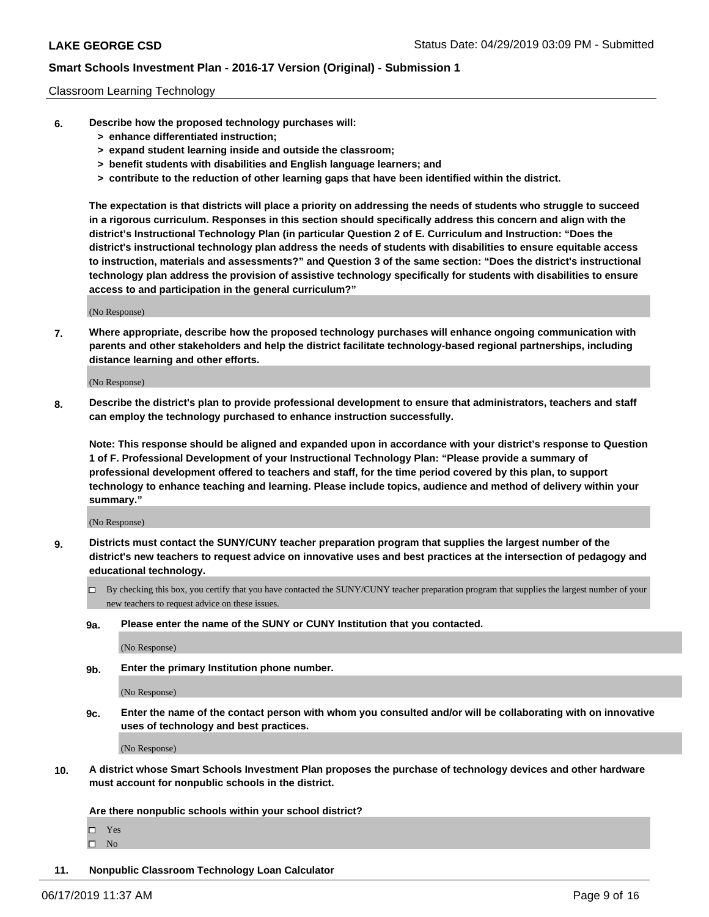#### Classroom Learning Technology

- **6. Describe how the proposed technology purchases will:**
	- **> enhance differentiated instruction;**
	- **> expand student learning inside and outside the classroom;**
	- **> benefit students with disabilities and English language learners; and**
	- **> contribute to the reduction of other learning gaps that have been identified within the district.**

**The expectation is that districts will place a priority on addressing the needs of students who struggle to succeed in a rigorous curriculum. Responses in this section should specifically address this concern and align with the district's Instructional Technology Plan (in particular Question 2 of E. Curriculum and Instruction: "Does the district's instructional technology plan address the needs of students with disabilities to ensure equitable access to instruction, materials and assessments?" and Question 3 of the same section: "Does the district's instructional technology plan address the provision of assistive technology specifically for students with disabilities to ensure access to and participation in the general curriculum?"**

(No Response)

**7. Where appropriate, describe how the proposed technology purchases will enhance ongoing communication with parents and other stakeholders and help the district facilitate technology-based regional partnerships, including distance learning and other efforts.**

(No Response)

**8. Describe the district's plan to provide professional development to ensure that administrators, teachers and staff can employ the technology purchased to enhance instruction successfully.**

**Note: This response should be aligned and expanded upon in accordance with your district's response to Question 1 of F. Professional Development of your Instructional Technology Plan: "Please provide a summary of professional development offered to teachers and staff, for the time period covered by this plan, to support technology to enhance teaching and learning. Please include topics, audience and method of delivery within your summary."**

(No Response)

- **9. Districts must contact the SUNY/CUNY teacher preparation program that supplies the largest number of the district's new teachers to request advice on innovative uses and best practices at the intersection of pedagogy and educational technology.**
	- By checking this box, you certify that you have contacted the SUNY/CUNY teacher preparation program that supplies the largest number of your new teachers to request advice on these issues.
	- **9a. Please enter the name of the SUNY or CUNY Institution that you contacted.**

(No Response)

**9b. Enter the primary Institution phone number.**

(No Response)

**9c. Enter the name of the contact person with whom you consulted and/or will be collaborating with on innovative uses of technology and best practices.**

(No Response)

**10. A district whose Smart Schools Investment Plan proposes the purchase of technology devices and other hardware must account for nonpublic schools in the district.**

**Are there nonpublic schools within your school district?**

Yes

 $\square$  No

**11. Nonpublic Classroom Technology Loan Calculator**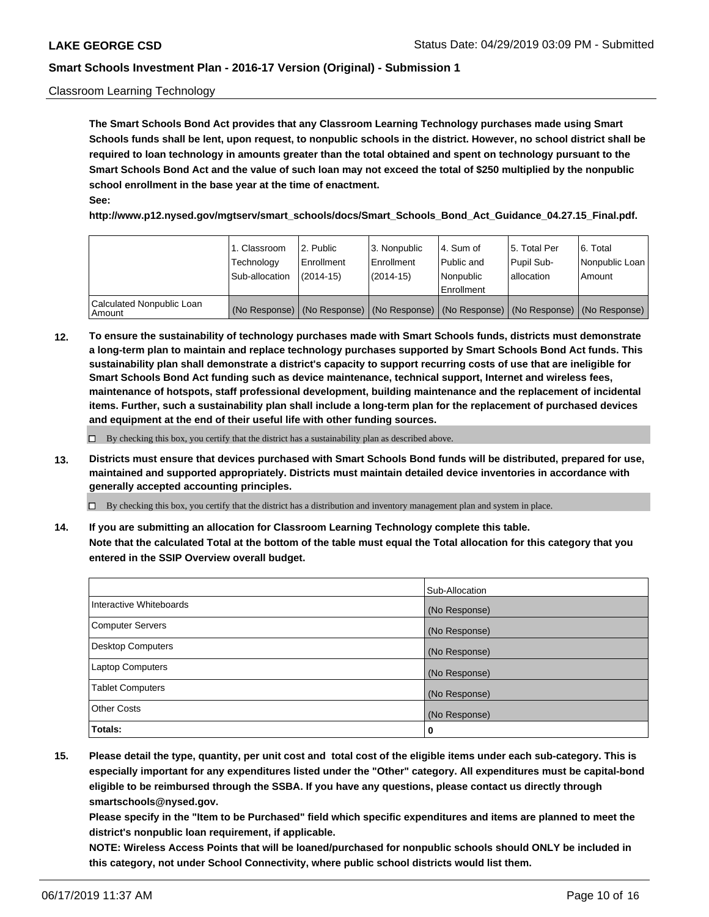#### Classroom Learning Technology

**The Smart Schools Bond Act provides that any Classroom Learning Technology purchases made using Smart Schools funds shall be lent, upon request, to nonpublic schools in the district. However, no school district shall be required to loan technology in amounts greater than the total obtained and spent on technology pursuant to the Smart Schools Bond Act and the value of such loan may not exceed the total of \$250 multiplied by the nonpublic school enrollment in the base year at the time of enactment. See:**

**http://www.p12.nysed.gov/mgtserv/smart\_schools/docs/Smart\_Schools\_Bond\_Act\_Guidance\_04.27.15\_Final.pdf.**

|                                       | 1. Classroom<br>Technology<br>Sub-allocation | 2. Public<br>l Enrollment<br>$(2014 - 15)$ | l 3. Nonpublic<br>l Enrollment<br>$(2014 - 15)$ | l 4. Sum of<br>Public and<br>l Nonpublic<br>Enrollment                                        | 15. Total Per<br>Pupil Sub-<br>l allocation | l 6. Total<br>Nonpublic Loan<br>Amount |
|---------------------------------------|----------------------------------------------|--------------------------------------------|-------------------------------------------------|-----------------------------------------------------------------------------------------------|---------------------------------------------|----------------------------------------|
| Calculated Nonpublic Loan<br>l Amount |                                              |                                            |                                                 | (No Response)   (No Response)   (No Response)   (No Response)   (No Response)   (No Response) |                                             |                                        |

**12. To ensure the sustainability of technology purchases made with Smart Schools funds, districts must demonstrate a long-term plan to maintain and replace technology purchases supported by Smart Schools Bond Act funds. This sustainability plan shall demonstrate a district's capacity to support recurring costs of use that are ineligible for Smart Schools Bond Act funding such as device maintenance, technical support, Internet and wireless fees, maintenance of hotspots, staff professional development, building maintenance and the replacement of incidental items. Further, such a sustainability plan shall include a long-term plan for the replacement of purchased devices and equipment at the end of their useful life with other funding sources.**

 $\Box$  By checking this box, you certify that the district has a sustainability plan as described above.

**13. Districts must ensure that devices purchased with Smart Schools Bond funds will be distributed, prepared for use, maintained and supported appropriately. Districts must maintain detailed device inventories in accordance with generally accepted accounting principles.**

By checking this box, you certify that the district has a distribution and inventory management plan and system in place.

**14. If you are submitting an allocation for Classroom Learning Technology complete this table. Note that the calculated Total at the bottom of the table must equal the Total allocation for this category that you entered in the SSIP Overview overall budget.**

|                          | Sub-Allocation |
|--------------------------|----------------|
| Interactive Whiteboards  | (No Response)  |
| <b>Computer Servers</b>  | (No Response)  |
| <b>Desktop Computers</b> | (No Response)  |
| <b>Laptop Computers</b>  | (No Response)  |
| <b>Tablet Computers</b>  | (No Response)  |
| <b>Other Costs</b>       | (No Response)  |
| Totals:                  | 0              |

**15. Please detail the type, quantity, per unit cost and total cost of the eligible items under each sub-category. This is especially important for any expenditures listed under the "Other" category. All expenditures must be capital-bond eligible to be reimbursed through the SSBA. If you have any questions, please contact us directly through smartschools@nysed.gov.**

**Please specify in the "Item to be Purchased" field which specific expenditures and items are planned to meet the district's nonpublic loan requirement, if applicable.**

**NOTE: Wireless Access Points that will be loaned/purchased for nonpublic schools should ONLY be included in this category, not under School Connectivity, where public school districts would list them.**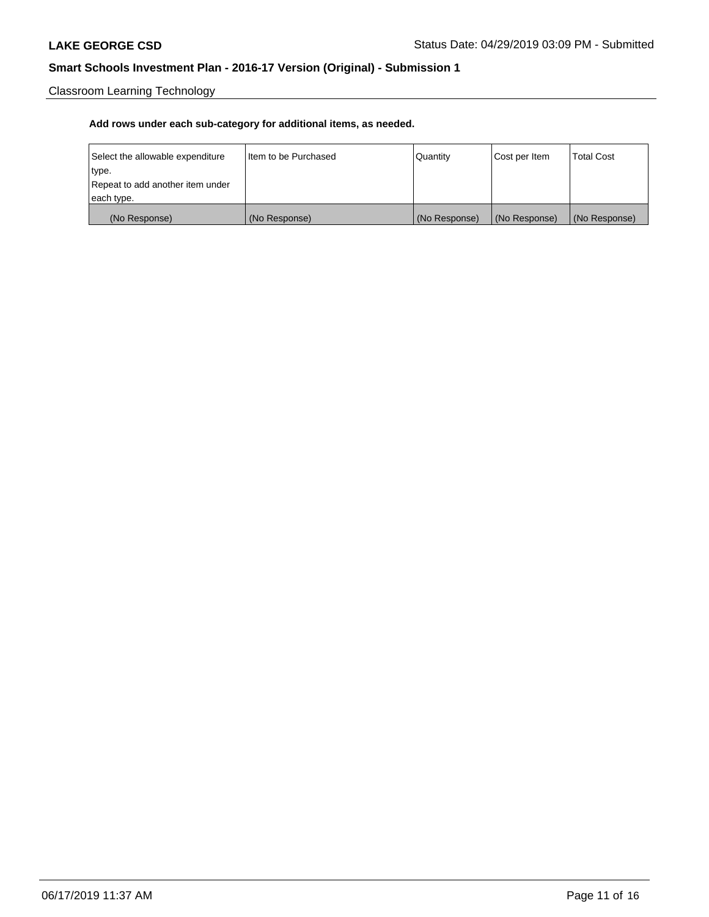Classroom Learning Technology

| Select the allowable expenditure | Iltem to be Purchased | Quantity      | Cost per Item | <b>Total Cost</b> |
|----------------------------------|-----------------------|---------------|---------------|-------------------|
| type.                            |                       |               |               |                   |
| Repeat to add another item under |                       |               |               |                   |
| each type.                       |                       |               |               |                   |
| (No Response)                    | (No Response)         | (No Response) | (No Response) | (No Response)     |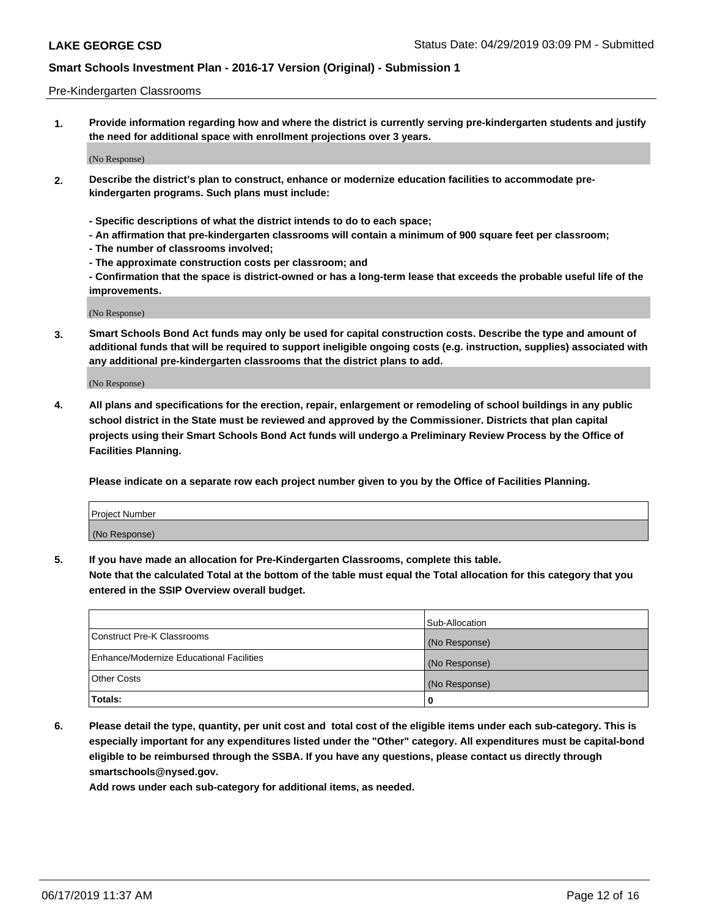#### Pre-Kindergarten Classrooms

**1. Provide information regarding how and where the district is currently serving pre-kindergarten students and justify the need for additional space with enrollment projections over 3 years.**

(No Response)

- **2. Describe the district's plan to construct, enhance or modernize education facilities to accommodate prekindergarten programs. Such plans must include:**
	- **Specific descriptions of what the district intends to do to each space;**
	- **An affirmation that pre-kindergarten classrooms will contain a minimum of 900 square feet per classroom;**
	- **The number of classrooms involved;**
	- **The approximate construction costs per classroom; and**
	- **Confirmation that the space is district-owned or has a long-term lease that exceeds the probable useful life of the improvements.**

(No Response)

**3. Smart Schools Bond Act funds may only be used for capital construction costs. Describe the type and amount of additional funds that will be required to support ineligible ongoing costs (e.g. instruction, supplies) associated with any additional pre-kindergarten classrooms that the district plans to add.**

(No Response)

**4. All plans and specifications for the erection, repair, enlargement or remodeling of school buildings in any public school district in the State must be reviewed and approved by the Commissioner. Districts that plan capital projects using their Smart Schools Bond Act funds will undergo a Preliminary Review Process by the Office of Facilities Planning.**

**Please indicate on a separate row each project number given to you by the Office of Facilities Planning.**

| Project Number |  |
|----------------|--|
| (No Response)  |  |
|                |  |

**5. If you have made an allocation for Pre-Kindergarten Classrooms, complete this table.**

**Note that the calculated Total at the bottom of the table must equal the Total allocation for this category that you entered in the SSIP Overview overall budget.**

|                                          | Sub-Allocation |
|------------------------------------------|----------------|
| Construct Pre-K Classrooms               | (No Response)  |
| Enhance/Modernize Educational Facilities | (No Response)  |
| <b>Other Costs</b>                       | (No Response)  |
| Totals:                                  | 0              |

**6. Please detail the type, quantity, per unit cost and total cost of the eligible items under each sub-category. This is especially important for any expenditures listed under the "Other" category. All expenditures must be capital-bond eligible to be reimbursed through the SSBA. If you have any questions, please contact us directly through smartschools@nysed.gov.**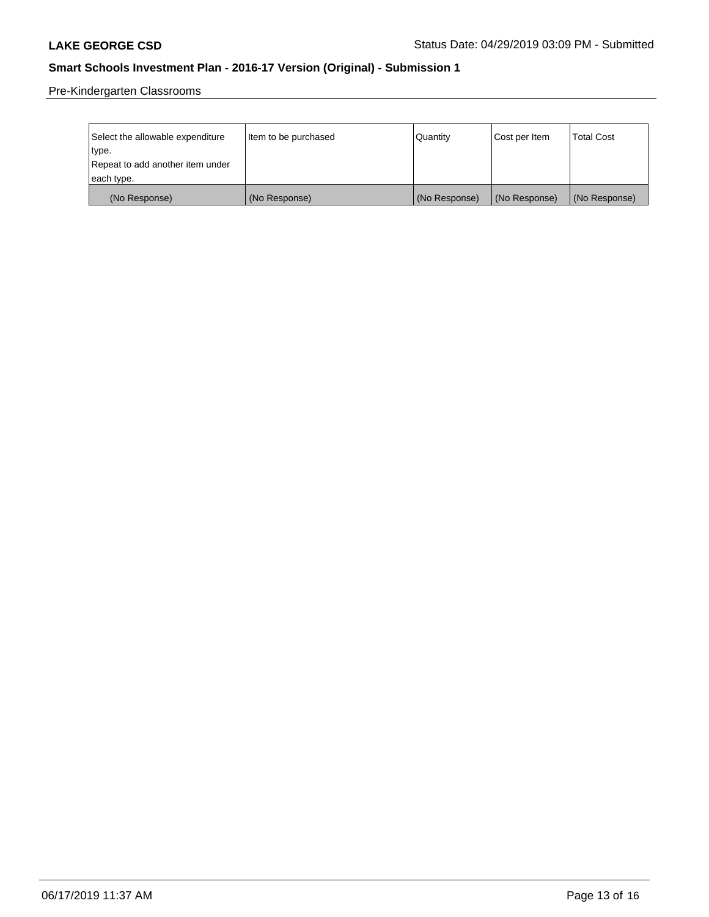Pre-Kindergarten Classrooms

| Select the allowable expenditure | Item to be purchased | Quantity      | Cost per Item | <b>Total Cost</b> |
|----------------------------------|----------------------|---------------|---------------|-------------------|
| type.                            |                      |               |               |                   |
| Repeat to add another item under |                      |               |               |                   |
| each type.                       |                      |               |               |                   |
| (No Response)                    | (No Response)        | (No Response) | (No Response) | (No Response)     |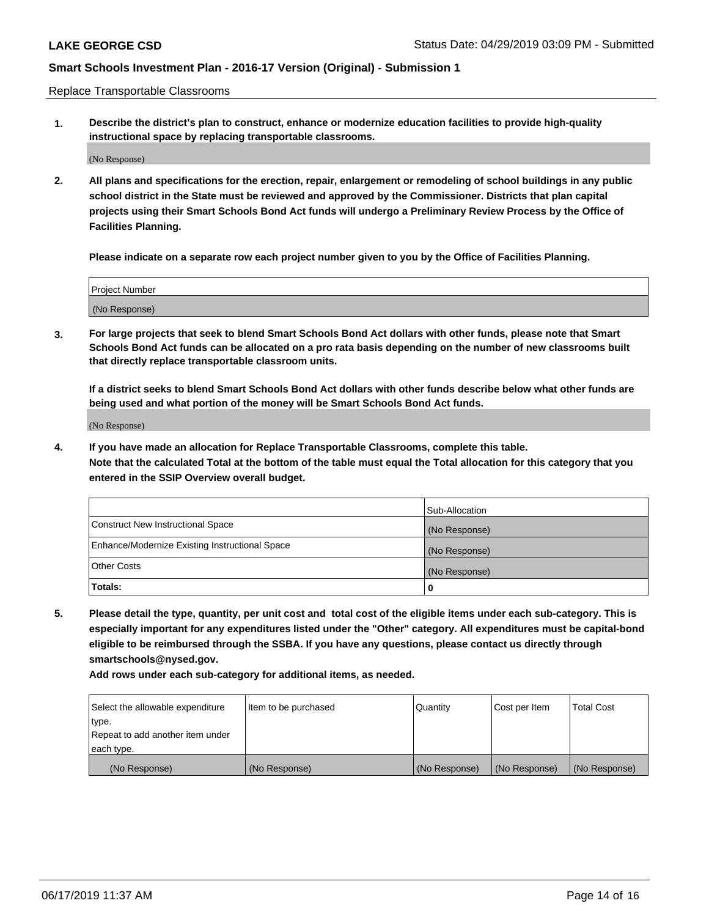Replace Transportable Classrooms

**1. Describe the district's plan to construct, enhance or modernize education facilities to provide high-quality instructional space by replacing transportable classrooms.**

(No Response)

**2. All plans and specifications for the erection, repair, enlargement or remodeling of school buildings in any public school district in the State must be reviewed and approved by the Commissioner. Districts that plan capital projects using their Smart Schools Bond Act funds will undergo a Preliminary Review Process by the Office of Facilities Planning.**

**Please indicate on a separate row each project number given to you by the Office of Facilities Planning.**

| Project Number |  |
|----------------|--|
|                |  |
|                |  |
|                |  |
|                |  |
| (No Response)  |  |
|                |  |
|                |  |
|                |  |

**3. For large projects that seek to blend Smart Schools Bond Act dollars with other funds, please note that Smart Schools Bond Act funds can be allocated on a pro rata basis depending on the number of new classrooms built that directly replace transportable classroom units.**

**If a district seeks to blend Smart Schools Bond Act dollars with other funds describe below what other funds are being used and what portion of the money will be Smart Schools Bond Act funds.**

(No Response)

**4. If you have made an allocation for Replace Transportable Classrooms, complete this table. Note that the calculated Total at the bottom of the table must equal the Total allocation for this category that you entered in the SSIP Overview overall budget.**

|                                                | Sub-Allocation |
|------------------------------------------------|----------------|
| Construct New Instructional Space              | (No Response)  |
| Enhance/Modernize Existing Instructional Space | (No Response)  |
| <b>Other Costs</b>                             | (No Response)  |
| Totals:                                        | 0              |

**5. Please detail the type, quantity, per unit cost and total cost of the eligible items under each sub-category. This is especially important for any expenditures listed under the "Other" category. All expenditures must be capital-bond eligible to be reimbursed through the SSBA. If you have any questions, please contact us directly through smartschools@nysed.gov.**

| Select the allowable expenditure | Item to be purchased | l Quantitv    | Cost per Item | <b>Total Cost</b> |
|----------------------------------|----------------------|---------------|---------------|-------------------|
| type.                            |                      |               |               |                   |
| Repeat to add another item under |                      |               |               |                   |
| each type.                       |                      |               |               |                   |
| (No Response)                    | (No Response)        | (No Response) | (No Response) | (No Response)     |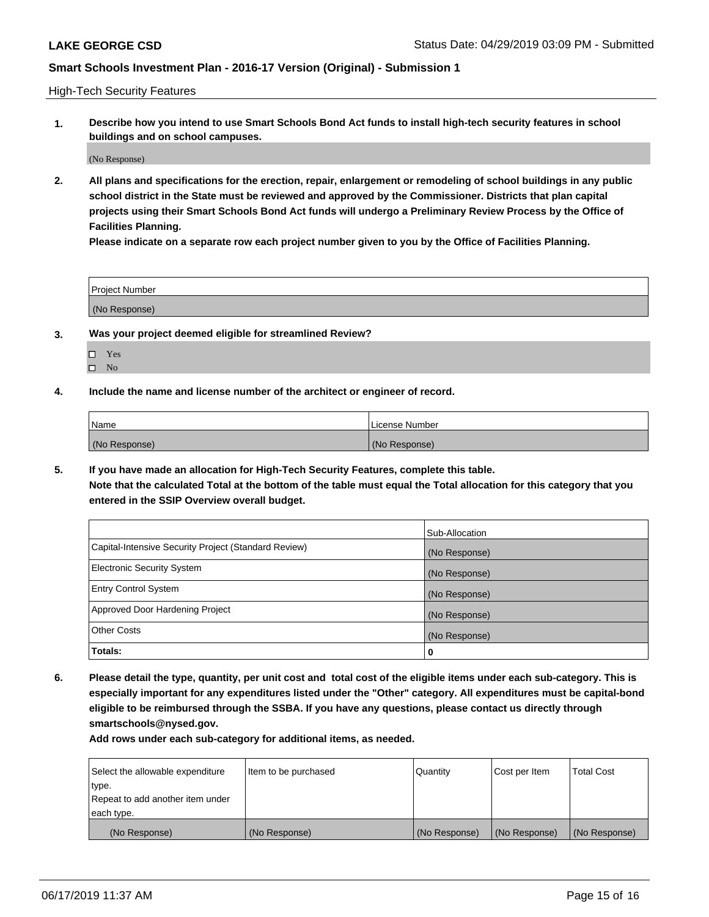High-Tech Security Features

**1. Describe how you intend to use Smart Schools Bond Act funds to install high-tech security features in school buildings and on school campuses.**

(No Response)

**2. All plans and specifications for the erection, repair, enlargement or remodeling of school buildings in any public school district in the State must be reviewed and approved by the Commissioner. Districts that plan capital projects using their Smart Schools Bond Act funds will undergo a Preliminary Review Process by the Office of Facilities Planning.** 

**Please indicate on a separate row each project number given to you by the Office of Facilities Planning.**

| <b>Project Number</b> |  |
|-----------------------|--|
| (No Response)         |  |

- **3. Was your project deemed eligible for streamlined Review?**
	- Yes
	- $\square$  No
- **4. Include the name and license number of the architect or engineer of record.**

| <b>Name</b>   | License Number |
|---------------|----------------|
| (No Response) | (No Response)  |

**5. If you have made an allocation for High-Tech Security Features, complete this table.**

**Note that the calculated Total at the bottom of the table must equal the Total allocation for this category that you entered in the SSIP Overview overall budget.**

|                                                      | Sub-Allocation |
|------------------------------------------------------|----------------|
| Capital-Intensive Security Project (Standard Review) | (No Response)  |
| <b>Electronic Security System</b>                    | (No Response)  |
| <b>Entry Control System</b>                          | (No Response)  |
| Approved Door Hardening Project                      | (No Response)  |
| <b>Other Costs</b>                                   | (No Response)  |
| Totals:                                              | 0              |

**6. Please detail the type, quantity, per unit cost and total cost of the eligible items under each sub-category. This is especially important for any expenditures listed under the "Other" category. All expenditures must be capital-bond eligible to be reimbursed through the SSBA. If you have any questions, please contact us directly through smartschools@nysed.gov.**

| Select the allowable expenditure | Item to be purchased | Quantity      | Cost per Item | <b>Total Cost</b> |
|----------------------------------|----------------------|---------------|---------------|-------------------|
| type.                            |                      |               |               |                   |
| Repeat to add another item under |                      |               |               |                   |
| each type.                       |                      |               |               |                   |
| (No Response)                    | (No Response)        | (No Response) | (No Response) | (No Response)     |